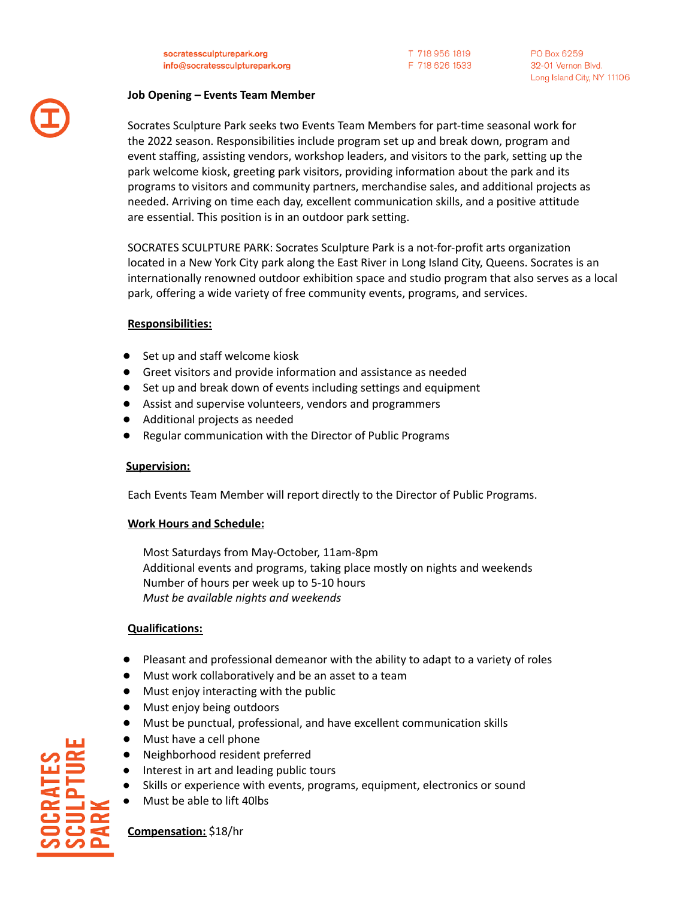socratessculpturepark.org info@socratessculpturepark.org T 718 956 1819 F 718 626 1533

## **Job Opening – Events Team Member**

Socrates Sculpture Park seeks two Events Team Members for part-time seasonal work for the 2022 season. Responsibilities include program set up and break down, program and event staffing, assisting vendors, workshop leaders, and visitors to the park, setting up the park welcome kiosk, greeting park visitors, providing information about the park and its programs to visitors and community partners, merchandise sales, and additional projects as needed. Arriving on time each day, excellent communication skills, and a positive attitude are essential. This position is in an outdoor park setting.

SOCRATES SCULPTURE PARK: Socrates Sculpture Park is a not-for-profit arts organization located in a New York City park along the East River in Long Island City, Queens. Socrates is an internationally renowned outdoor exhibition space and studio program that also serves as a local park, offering a wide variety of free community events, programs, and services.

# **Responsibilities:**

- Set up and staff welcome kiosk
- Greet visitors and provide information and assistance as needed
- Set up and break down of events including settings and equipment
- Assist and supervise volunteers, vendors and programmers
- Additional projects as needed
- Regular communication with the Director of Public Programs

# **Supervision:**

Each Events Team Member will report directly to the Director of Public Programs.

### **Work Hours and Schedule:**

Most Saturdays from May-October, 11am-8pm Additional events and programs, taking place mostly on nights and weekends Number of hours per week up to 5-10 hours *Must be available nights and weekends*

### **Qualifications:**

- Pleasant and professional demeanor with the ability to adapt to a variety of roles
- Must work collaboratively and be an asset to a team
- Must enjoy interacting with the public
- Must enjoy being outdoors
- Must be punctual, professional, and have excellent communication skills
- Must have a cell phone
- Neighborhood resident preferred
- Interest in art and leading public tours
- Skills or experience with events, programs, equipment, electronics or sound
- Must be able to lift 40lbs

**Compensation:** \$18/hr